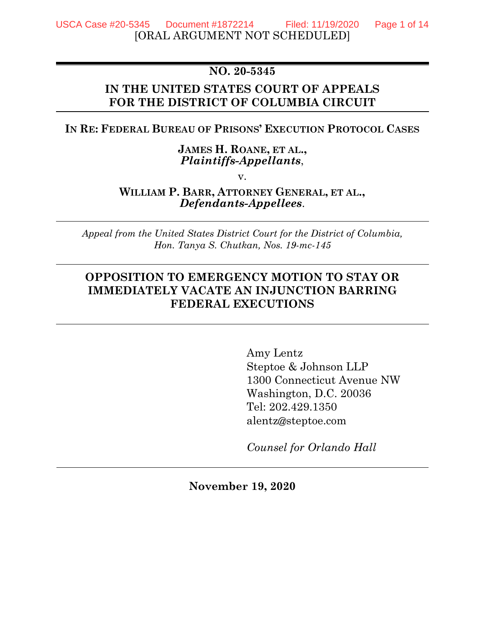# **NO. 20-5345**

## **IN THE UNITED STATES COURT OF APPEALS FOR THE DISTRICT OF COLUMBIA CIRCUIT**

### **IN RE: FEDERAL BUREAU OF PRISONS' EXECUTION PROTOCOL CASES**

### **JAMES H. ROANE, ET AL.,** *Plaintiffs-Appellants*,

v.

### **WILLIAM P. BARR, ATTORNEY GENERAL, ET AL.,** *Defendants-Appellees*.

*Appeal from the United States District Court for the District of Columbia, Hon. Tanya S. Chutkan, Nos. 19-mc-145*

# **OPPOSITION TO EMERGENCY MOTION TO STAY OR IMMEDIATELY VACATE AN INJUNCTION BARRING FEDERAL EXECUTIONS**

Amy Lentz Steptoe & Johnson LLP 1300 Connecticut Avenue NW Washington, D.C. 20036 Tel: 202.429.1350 alentz@steptoe.com

*Counsel for Orlando Hall*

**November 19, 2020**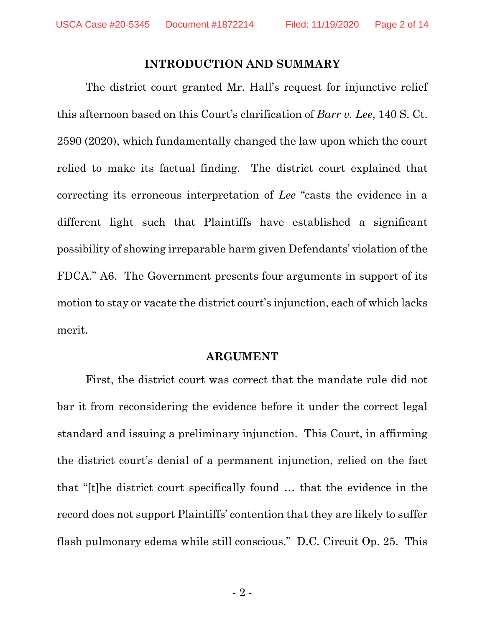### **INTRODUCTION AND SUMMARY**

The district court granted Mr. Hall's request for injunctive relief this afternoon based on this Court's clarification of *Barr v. Lee*, 140 S. Ct. 2590 (2020), which fundamentally changed the law upon which the court relied to make its factual finding. The district court explained that correcting its erroneous interpretation of *Lee* "casts the evidence in a different light such that Plaintiffs have established a significant possibility of showing irreparable harm given Defendants' violation of the FDCA." A6. The Government presents four arguments in support of its motion to stay or vacate the district court's injunction, each of which lacks merit.

#### **ARGUMENT**

First, the district court was correct that the mandate rule did not bar it from reconsidering the evidence before it under the correct legal standard and issuing a preliminary injunction. This Court, in affirming the district court's denial of a permanent injunction, relied on the fact that "[t]he district court specifically found … that the evidence in the record does not support Plaintiffs' contention that they are likely to suffer flash pulmonary edema while still conscious." D.C. Circuit Op. 25. This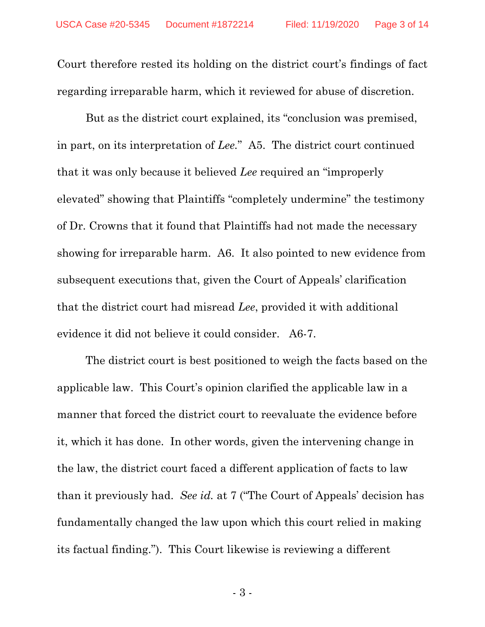Court therefore rested its holding on the district court's findings of fact regarding irreparable harm, which it reviewed for abuse of discretion.

But as the district court explained, its "conclusion was premised, in part, on its interpretation of *Lee.*" A5. The district court continued that it was only because it believed *Lee* required an "improperly elevated" showing that Plaintiffs "completely undermine" the testimony of Dr. Crowns that it found that Plaintiffs had not made the necessary showing for irreparable harm. A6. It also pointed to new evidence from subsequent executions that, given the Court of Appeals' clarification that the district court had misread *Lee*, provided it with additional evidence it did not believe it could consider. A6-7.

The district court is best positioned to weigh the facts based on the applicable law. This Court's opinion clarified the applicable law in a manner that forced the district court to reevaluate the evidence before it, which it has done. In other words, given the intervening change in the law, the district court faced a different application of facts to law than it previously had. *See id.* at 7 ("The Court of Appeals' decision has fundamentally changed the law upon which this court relied in making its factual finding."). This Court likewise is reviewing a different

- 3 -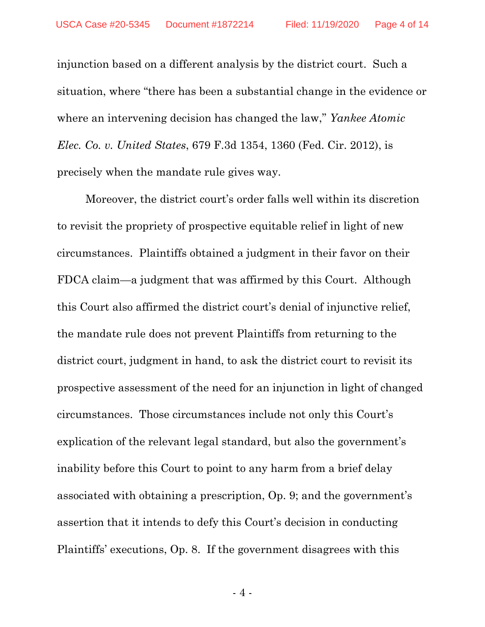injunction based on a different analysis by the district court. Such a situation, where "there has been a substantial change in the evidence or where an intervening decision has changed the law," *Yankee Atomic Elec. Co. v. United States*, 679 F.3d 1354, 1360 (Fed. Cir. 2012), is precisely when the mandate rule gives way.

Moreover, the district court's order falls well within its discretion to revisit the propriety of prospective equitable relief in light of new circumstances. Plaintiffs obtained a judgment in their favor on their FDCA claim—a judgment that was affirmed by this Court. Although this Court also affirmed the district court's denial of injunctive relief, the mandate rule does not prevent Plaintiffs from returning to the district court, judgment in hand, to ask the district court to revisit its prospective assessment of the need for an injunction in light of changed circumstances. Those circumstances include not only this Court's explication of the relevant legal standard, but also the government's inability before this Court to point to any harm from a brief delay associated with obtaining a prescription, Op. 9; and the government's assertion that it intends to defy this Court's decision in conducting Plaintiffs' executions, Op. 8. If the government disagrees with this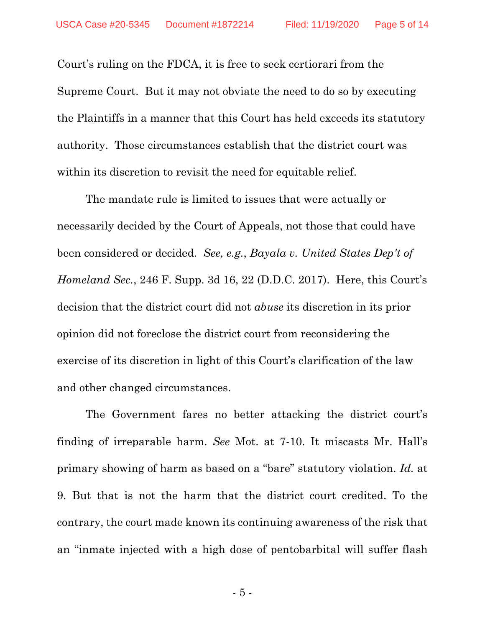Court's ruling on the FDCA, it is free to seek certiorari from the Supreme Court. But it may not obviate the need to do so by executing the Plaintiffs in a manner that this Court has held exceeds its statutory authority. Those circumstances establish that the district court was within its discretion to revisit the need for equitable relief.

The mandate rule is limited to issues that were actually or necessarily decided by the Court of Appeals, not those that could have been considered or decided. *See, e.g.*, *Bayala v. United States Dep't of Homeland Sec.*, 246 F. Supp. 3d 16, 22 (D.D.C. 2017). Here, this Court's decision that the district court did not *abuse* its discretion in its prior opinion did not foreclose the district court from reconsidering the exercise of its discretion in light of this Court's clarification of the law and other changed circumstances.

The Government fares no better attacking the district court's finding of irreparable harm. *See* Mot. at 7-10. It miscasts Mr. Hall's primary showing of harm as based on a "bare" statutory violation. *Id.* at 9. But that is not the harm that the district court credited. To the contrary, the court made known its continuing awareness of the risk that an "inmate injected with a high dose of pentobarbital will suffer flash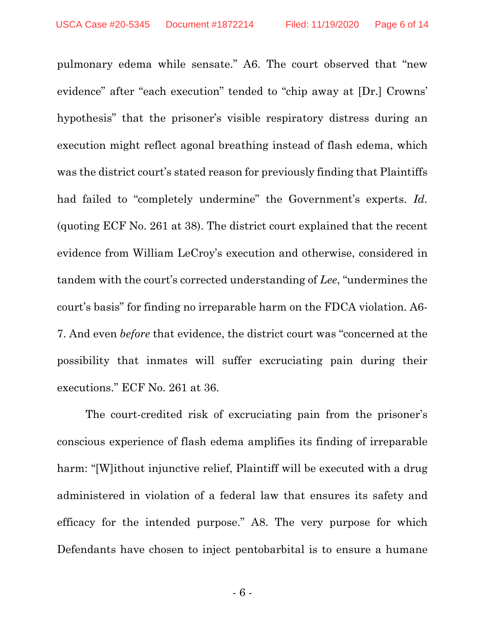pulmonary edema while sensate." A6. The court observed that "new evidence" after "each execution" tended to "chip away at [Dr.] Crowns' hypothesis" that the prisoner's visible respiratory distress during an execution might reflect agonal breathing instead of flash edema, which was the district court's stated reason for previously finding that Plaintiffs had failed to "completely undermine" the Government's experts. *Id.* (quoting ECF No. 261 at 38). The district court explained that the recent evidence from William LeCroy's execution and otherwise, considered in tandem with the court's corrected understanding of *Lee*, "undermines the court's basis" for finding no irreparable harm on the FDCA violation. A6- 7. And even *before* that evidence, the district court was "concerned at the possibility that inmates will suffer excruciating pain during their executions." ECF No. 261 at 36.

The court-credited risk of excruciating pain from the prisoner's conscious experience of flash edema amplifies its finding of irreparable harm: "[W]ithout injunctive relief, Plaintiff will be executed with a drug administered in violation of a federal law that ensures its safety and efficacy for the intended purpose." A8. The very purpose for which Defendants have chosen to inject pentobarbital is to ensure a humane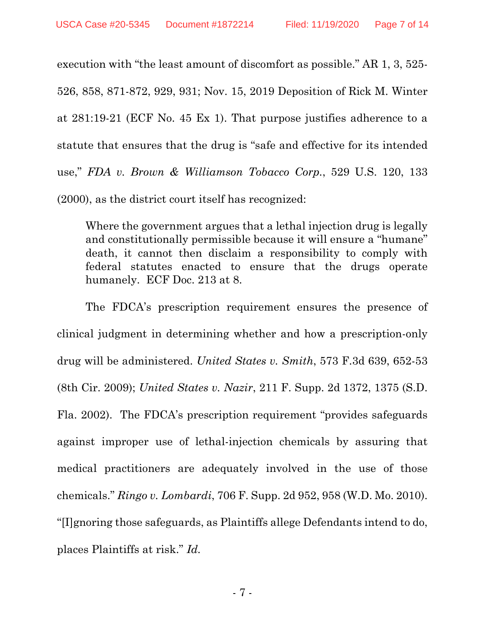execution with "the least amount of discomfort as possible." AR 1, 3, 525- 526, 858, 871-872, 929, 931; Nov. 15, 2019 Deposition of Rick M. Winter at 281:19-21 (ECF No. 45 Ex 1). That purpose justifies adherence to a statute that ensures that the drug is "safe and effective for its intended use," *FDA v. Brown & Williamson Tobacco Corp.*, 529 U.S. 120, 133 (2000), as the district court itself has recognized:

Where the government argues that a lethal injection drug is legally and constitutionally permissible because it will ensure a "humane" death, it cannot then disclaim a responsibility to comply with federal statutes enacted to ensure that the drugs operate humanely. ECF Doc. 213 at 8.

The FDCA's prescription requirement ensures the presence of clinical judgment in determining whether and how a prescription-only drug will be administered. *United States v. Smith*, 573 F.3d 639, 652-53 (8th Cir. 2009); *United States v. Nazir*, 211 F. Supp. 2d 1372, 1375 (S.D. Fla. 2002). The FDCA's prescription requirement "provides safeguards against improper use of lethal-injection chemicals by assuring that medical practitioners are adequately involved in the use of those chemicals." *Ringo v. Lombardi*, 706 F. Supp. 2d 952, 958 (W.D. Mo. 2010). "[I]gnoring those safeguards, as Plaintiffs allege Defendants intend to do, places Plaintiffs at risk." *Id.*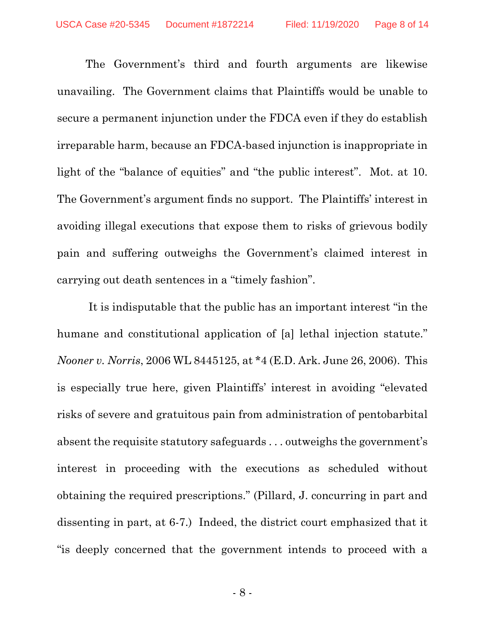The Government's third and fourth arguments are likewise unavailing. The Government claims that Plaintiffs would be unable to secure a permanent injunction under the FDCA even if they do establish irreparable harm, because an FDCA-based injunction is inappropriate in light of the "balance of equities" and "the public interest". Mot. at 10. The Government's argument finds no support. The Plaintiffs' interest in avoiding illegal executions that expose them to risks of grievous bodily pain and suffering outweighs the Government's claimed interest in carrying out death sentences in a "timely fashion".

It is indisputable that the public has an important interest "in the humane and constitutional application of [a] lethal injection statute." *Nooner v. Norris*, 2006 WL 8445125, at \*4 (E.D. Ark. June 26, 2006). This is especially true here, given Plaintiffs' interest in avoiding "elevated risks of severe and gratuitous pain from administration of pentobarbital absent the requisite statutory safeguards . . . outweighs the government's interest in proceeding with the executions as scheduled without obtaining the required prescriptions." (Pillard, J. concurring in part and dissenting in part, at 6-7.) Indeed, the district court emphasized that it "is deeply concerned that the government intends to proceed with a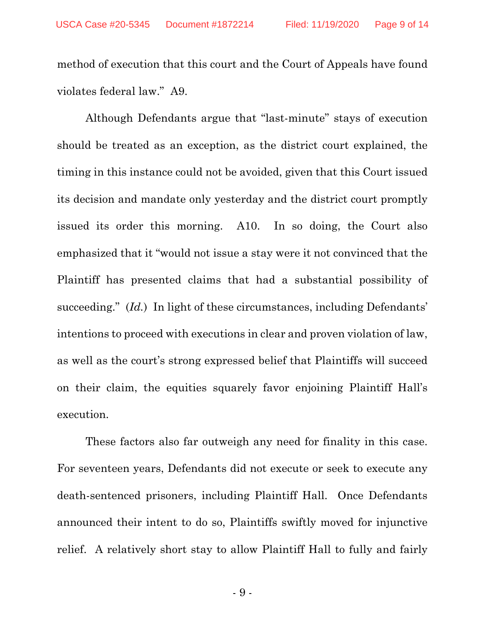method of execution that this court and the Court of Appeals have found violates federal law." A9.

Although Defendants argue that "last-minute" stays of execution should be treated as an exception, as the district court explained, the timing in this instance could not be avoided, given that this Court issued its decision and mandate only yesterday and the district court promptly issued its order this morning. A10. In so doing, the Court also emphasized that it "would not issue a stay were it not convinced that the Plaintiff has presented claims that had a substantial possibility of succeeding." (*Id.*) In light of these circumstances, including Defendants' intentions to proceed with executions in clear and proven violation of law, as well as the court's strong expressed belief that Plaintiffs will succeed on their claim, the equities squarely favor enjoining Plaintiff Hall's execution.

These factors also far outweigh any need for finality in this case. For seventeen years, Defendants did not execute or seek to execute any death-sentenced prisoners, including Plaintiff Hall. Once Defendants announced their intent to do so, Plaintiffs swiftly moved for injunctive relief. A relatively short stay to allow Plaintiff Hall to fully and fairly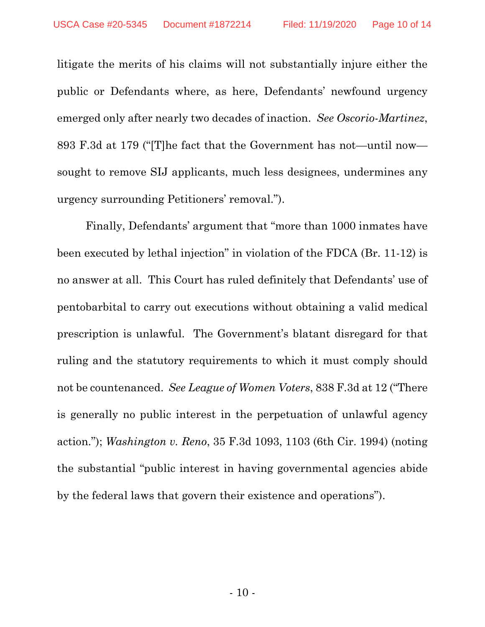litigate the merits of his claims will not substantially injure either the public or Defendants where, as here, Defendants' newfound urgency emerged only after nearly two decades of inaction. *See Oscorio-Martinez*, 893 F.3d at 179 ("[T]he fact that the Government has not—until now sought to remove SIJ applicants, much less designees, undermines any urgency surrounding Petitioners' removal.").

Finally, Defendants' argument that "more than 1000 inmates have been executed by lethal injection" in violation of the FDCA (Br. 11-12) is no answer at all. This Court has ruled definitely that Defendants' use of pentobarbital to carry out executions without obtaining a valid medical prescription is unlawful. The Government's blatant disregard for that ruling and the statutory requirements to which it must comply should not be countenanced. *See League of Women Voters*, 838 F.3d at 12 ("There is generally no public interest in the perpetuation of unlawful agency action."); *Washington v. Reno*, 35 F.3d 1093, 1103 (6th Cir. 1994) (noting the substantial "public interest in having governmental agencies abide by the federal laws that govern their existence and operations").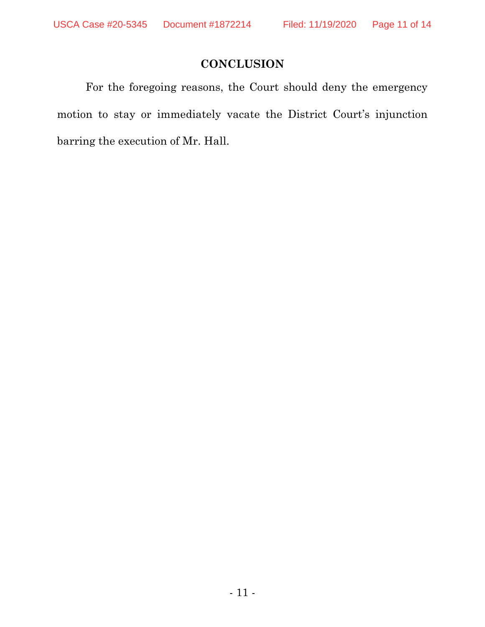# **CONCLUSION**

For the foregoing reasons, the Court should deny the emergency motion to stay or immediately vacate the District Court's injunction barring the execution of Mr. Hall.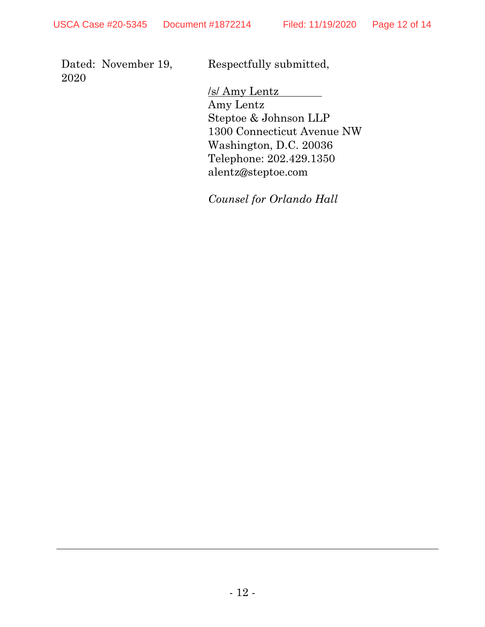Dated: November 19, 2020

Respectfully submitted,

/s/ Amy Lentz Amy Lentz Steptoe & Johnson LLP 1300 Connecticut Avenue NW Washington, D.C. 20036 Telephone: 202.429.1350 alentz@steptoe.com

*Counsel for Orlando Hall*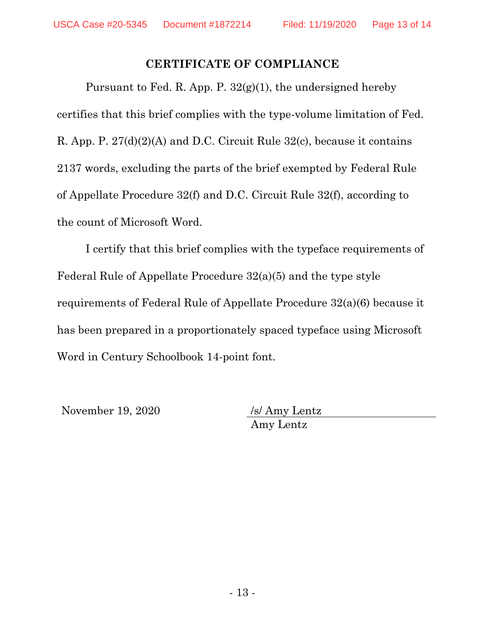# **CERTIFICATE OF COMPLIANCE**

Pursuant to Fed. R. App. P.  $32(g)(1)$ , the undersigned hereby certifies that this brief complies with the type-volume limitation of Fed. R. App. P. 27(d)(2)(A) and D.C. Circuit Rule 32(c), because it contains 2137 words, excluding the parts of the brief exempted by Federal Rule of Appellate Procedure 32(f) and D.C. Circuit Rule 32(f), according to the count of Microsoft Word.

I certify that this brief complies with the typeface requirements of Federal Rule of Appellate Procedure 32(a)(5) and the type style requirements of Federal Rule of Appellate Procedure 32(a)(6) because it has been prepared in a proportionately spaced typeface using Microsoft Word in Century Schoolbook 14-point font.

November 19, 2020 /s/ Amy Lentz

Amy Lentz